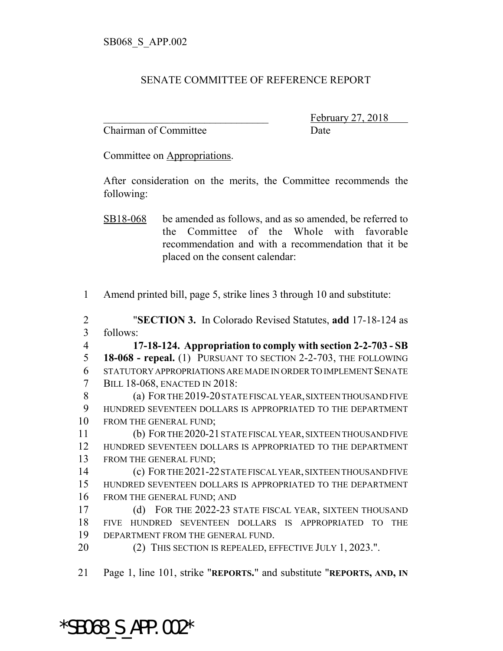## SENATE COMMITTEE OF REFERENCE REPORT

Chairman of Committee Date

February 27, 2018

Committee on Appropriations.

After consideration on the merits, the Committee recommends the following:

Amend printed bill, page 5, strike lines 3 through 10 and substitute:

 "**SECTION 3.** In Colorado Revised Statutes, **add** 17-18-124 as follows:

 **17-18-124. Appropriation to comply with section 2-2-703 - SB 18-068 - repeal.** (1) PURSUANT TO SECTION 2-2-703, THE FOLLOWING STATUTORY APPROPRIATIONS ARE MADE IN ORDER TO IMPLEMENT SENATE BILL 18-068, ENACTED IN 2018:

 (a) FOR THE 2019-20 STATE FISCAL YEAR, SIXTEEN THOUSAND FIVE HUNDRED SEVENTEEN DOLLARS IS APPROPRIATED TO THE DEPARTMENT FROM THE GENERAL FUND;

 (b) FOR THE 2020-21 STATE FISCAL YEAR, SIXTEEN THOUSAND FIVE HUNDRED SEVENTEEN DOLLARS IS APPROPRIATED TO THE DEPARTMENT FROM THE GENERAL FUND;

 (c) FOR THE 2021-22 STATE FISCAL YEAR, SIXTEEN THOUSAND FIVE HUNDRED SEVENTEEN DOLLARS IS APPROPRIATED TO THE DEPARTMENT FROM THE GENERAL FUND; AND

 (d) FOR THE 2022-23 STATE FISCAL YEAR, SIXTEEN THOUSAND FIVE HUNDRED SEVENTEEN DOLLARS IS APPROPRIATED TO THE DEPARTMENT FROM THE GENERAL FUND.

**(2) THIS SECTION IS REPEALED, EFFECTIVE JULY 1, 2023.".** 

Page 1, line 101, strike "**REPORTS.**" and substitute "**REPORTS, AND, IN**

\*SB068\_S\_APP.002\*

SB18-068 be amended as follows, and as so amended, be referred to the Committee of the Whole with favorable recommendation and with a recommendation that it be placed on the consent calendar: